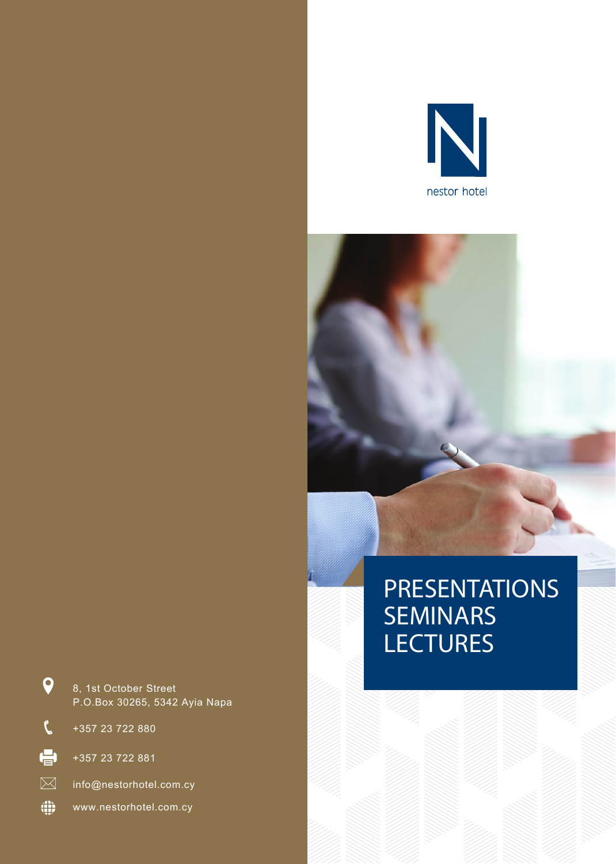

# PRESENTATIONS **SEMINARS LECTURES**



8, 1st October Street P.O.Box 30265, 5342 Ayia Napa

+357 23 722 880

 $\boldsymbol{Q}$ 

 $\mathcal{C}$ 

 $\oplus$ 

+357 23 722 881

info@nestorhotel.com.cy

 $\oplus$ www.nestorhotel.com.cy